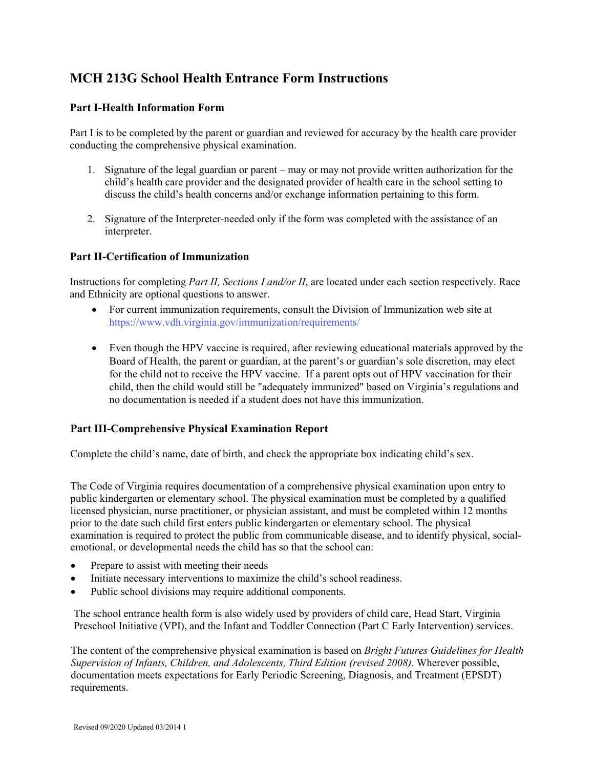# **MCH 213G School Health Entrance Form Instructions**

## **Part I-Health Information Form**

Part I is to be completed by the parent or guardian and reviewed for accuracy by the health care provider conducting the comprehensive physical examination.

- 1. Signature of the legal guardian or parent may or may not provide written authorization for the child's health care provider and the designated provider of health care in the school setting to discuss the child's health concerns and/or exchange information pertaining to this form.
- 2. Signature of the Interpreter-needed only if the form was completed with the assistance of an interpreter.

## **Part II-Certification of Immunization**

Instructions for completing *Part II, Sections I and/or II*, are located under each section respectively. Race and Ethnicity are optional questions to answer.

- For current immunization requirements, consult the Division of Immunization web site at <https://www.vdh.virginia.gov/immunization/requirements/>
- Even though the HPV vaccine is required, after reviewing educational materials approved by the Board of Health, the parent or guardian, at the parent's or guardian's sole discretion, may elect for the child not to receive the HPV vaccine. If a parent opts out of HPV vaccination for their child, then the child would still be "adequately immunized" based on Virginia's regulations and no documentation is needed if a student does not have this immunization.

#### **Part III-Comprehensive Physical Examination Report**

Complete the child's name, date of birth, and check the appropriate box indicating child's sex.

The Code of Virginia requires documentation of a comprehensive physical examination upon entry to public kindergarten or elementary school. The physical examination must be completed by a qualified licensed physician, nurse practitioner, or physician assistant, and must be completed within 12 months prior to the date such child first enters public kindergarten or elementary school. The physical examination is required to protect the public from communicable disease, and to identify physical, socialemotional, or developmental needs the child has so that the school can:

- Prepare to assist with meeting their needs
- Initiate necessary interventions to maximize the child's school readiness.
- Public school divisions may require additional components.

The school entrance health form is also widely used by providers of child care, Head Start, Virginia Preschool Initiative (VPI), and the Infant and Toddler Connection (Part C Early Intervention) services.

The content of the comprehensive physical examination is based on *Bright Futures Guidelines for Health Supervision of Infants, Children, and Adolescents, Third Edition (revised 2008)*. Wherever possible, documentation meets expectations for Early Periodic Screening, Diagnosis, and Treatment (EPSDT) requirements.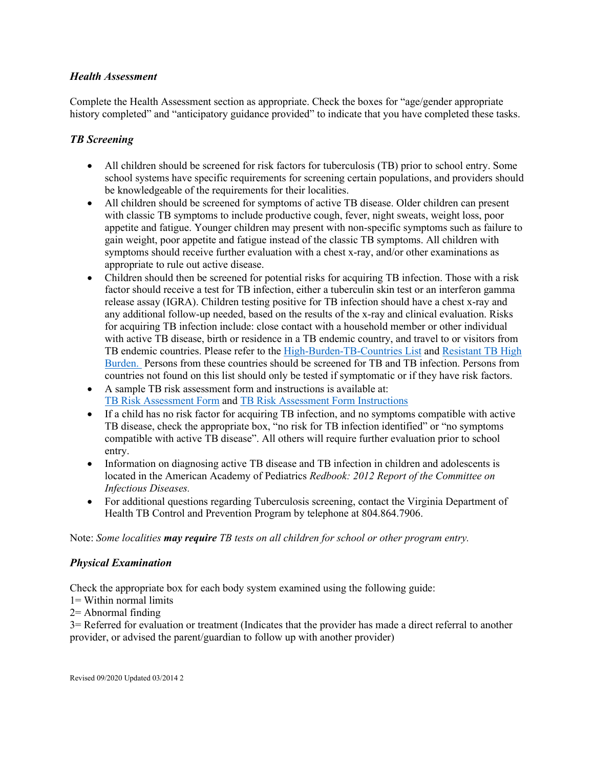# *Health Assessment*

Complete the Health Assessment section as appropriate. Check the boxes for "age/gender appropriate history completed" and "anticipatory guidance provided" to indicate that you have completed these tasks.

## *TB Screening*

- All children should be screened for risk factors for tuberculosis (TB) prior to school entry. Some school systems have specific requirements for screening certain populations, and providers should be knowledgeable of the requirements for their localities.
- All children should be screened for symptoms of active TB disease. Older children can present with classic TB symptoms to include productive cough, fever, night sweats, weight loss, poor appetite and fatigue. Younger children may present with non-specific symptoms such as failure to gain weight, poor appetite and fatigue instead of the classic TB symptoms. All children with symptoms should receive further evaluation with a chest x-ray, and/or other examinations as appropriate to rule out active disease.
- Children should then be screened for potential risks for acquiring TB infection. Those with a risk factor should receive a test for TB infection, either a tuberculin skin test or an interferon gamma release assay (IGRA). Children testing positive for TB infection should have a chest x-ray and any additional follow-up needed, based on the results of the x-ray and clinical evaluation. Risks for acquiring TB infection include: close contact with a household member or other individual with active TB disease, birth or residence in a TB endemic country, and travel to or visitors from TB endemic countries. Please refer to the [High-Burden-TB-Countries List](https://www.vdh.virginia.gov/content/uploads/sites/175/2020/01/High-Burden-TB-Countries-2020.pdf) and [Resistant TB High](https://www.vdh.virginia.gov/content/uploads/sites/175/2020/01/RR_MDR_burden_countries_2020.pdf)  [Burden.](https://www.vdh.virginia.gov/content/uploads/sites/175/2020/01/RR_MDR_burden_countries_2020.pdf) Persons from these countries should be screened for TB and TB infection. Persons from countries not found on this list should only be tested if symptomatic or if they have risk factors.
- A sample TB risk assessment form and instructions is available at: [TB Risk Assessment Form](https://www.vdh.virginia.gov/content/uploads/sites/112/2016/10/TB-Risk-Assessment-512-Form-11-2016-Fillable.pdf) an[d TB Risk Assessment Form Instructions](https://www.vdh.virginia.gov/content/uploads/sites/112/2016/10/512-Instructions_Nov-2016-1.pdf)
- If a child has no risk factor for acquiring TB infection, and no symptoms compatible with active TB disease, check the appropriate box, "no risk for TB infection identified" or "no symptoms compatible with active TB disease". All others will require further evaluation prior to school entry.
- Information on diagnosing active TB disease and TB infection in children and adolescents is located in the American Academy of Pediatrics *Redbook: 2012 Report of the Committee on Infectious Diseases.*
- For additional questions regarding Tuberculosis screening, contact the Virginia Department of Health TB Control and Prevention Program by telephone at 804.864.7906.

Note: *Some localities may require TB tests on all children for school or other program entry.* 

#### *Physical Examination*

Check the appropriate box for each body system examined using the following guide:

- 1= Within normal limits
- 2= Abnormal finding

3= Referred for evaluation or treatment (Indicates that the provider has made a direct referral to another provider, or advised the parent/guardian to follow up with another provider)

Revised 09/2020 Updated 03/2014 2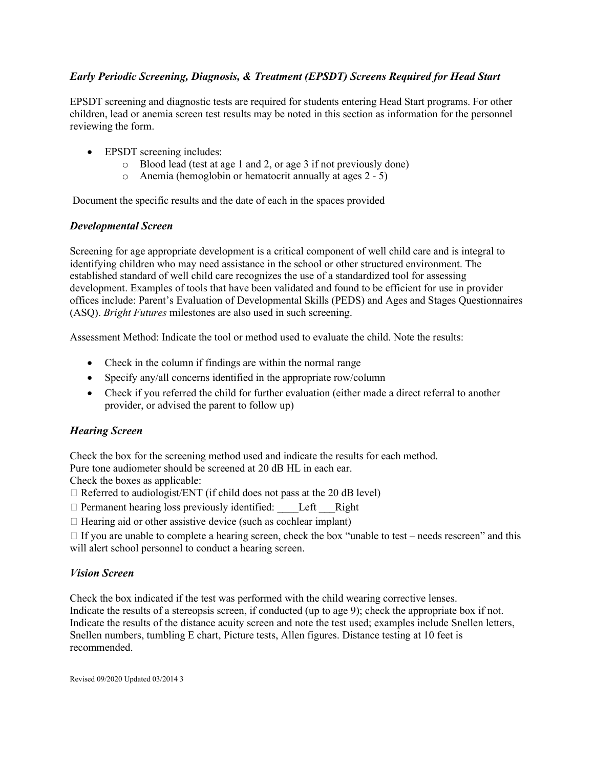# *Early Periodic Screening, Diagnosis, & Treatment (EPSDT) Screens Required for Head Start*

EPSDT screening and diagnostic tests are required for students entering Head Start programs. For other children, lead or anemia screen test results may be noted in this section as information for the personnel reviewing the form.

- EPSDT screening includes:
	- o Blood lead (test at age 1 and 2, or age 3 if not previously done)
	- o Anemia (hemoglobin or hematocrit annually at ages 2 5)

Document the specific results and the date of each in the spaces provided

# *Developmental Screen*

Screening for age appropriate development is a critical component of well child care and is integral to identifying children who may need assistance in the school or other structured environment. The established standard of well child care recognizes the use of a standardized tool for assessing development. Examples of tools that have been validated and found to be efficient for use in provider offices include: Parent's Evaluation of Developmental Skills (PEDS) and Ages and Stages Questionnaires (ASQ). *Bright Futures* milestones are also used in such screening.

Assessment Method: Indicate the tool or method used to evaluate the child. Note the results:

- Check in the column if findings are within the normal range
- Specify any/all concerns identified in the appropriate row/column
- Check if you referred the child for further evaluation (either made a direct referral to another provider, or advised the parent to follow up)

# *Hearing Screen*

Check the box for the screening method used and indicate the results for each method.

Pure tone audiometer should be screened at 20 dB HL in each ear.

Check the boxes as applicable:

- $\Box$  Referred to audiologist/ENT (if child does not pass at the 20 dB level)
- $\Box$  Permanent hearing loss previously identified: Left Right

 $\Box$  Hearing aid or other assistive device (such as cochlear implant)

 $\Box$  If you are unable to complete a hearing screen, check the box "unable to test – needs rescreen" and this will alert school personnel to conduct a hearing screen.

# *Vision Screen*

Check the box indicated if the test was performed with the child wearing corrective lenses. Indicate the results of a stereopsis screen, if conducted (up to age 9); check the appropriate box if not. Indicate the results of the distance acuity screen and note the test used; examples include Snellen letters, Snellen numbers, tumbling E chart, Picture tests, Allen figures. Distance testing at 10 feet is recommended.

Revised 09/2020 Updated 03/2014 3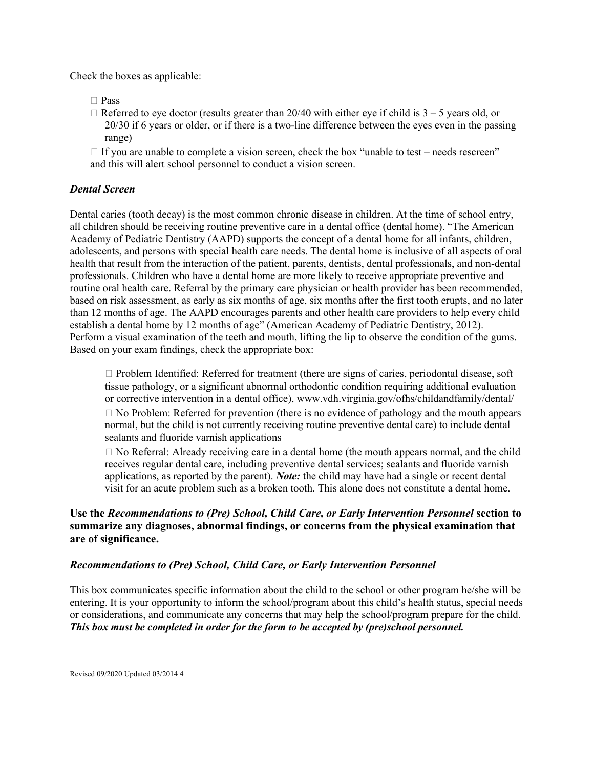Check the boxes as applicable:

- □ Pass
- $\Box$  Referred to eye doctor (results greater than 20/40 with either eye if child is 3 5 years old, or 20/30 if 6 years or older, or if there is a two-line difference between the eyes even in the passing range)
- $\Box$  If you are unable to complete a vision screen, check the box "unable to test needs rescreen" and this will alert school personnel to conduct a vision screen.

## *Dental Screen*

Dental caries (tooth decay) is the most common chronic disease in children. At the time of school entry, all children should be receiving routine preventive care in a dental office (dental home). "The American Academy of Pediatric Dentistry (AAPD) supports the concept of a dental home for all infants, children, adolescents, and persons with special health care needs. The dental home is inclusive of all aspects of oral health that result from the interaction of the patient, parents, dentists, dental professionals, and non-dental professionals. Children who have a dental home are more likely to receive appropriate preventive and routine oral health care. Referral by the primary care physician or health provider has been recommended, based on risk assessment, as early as six months of age, six months after the first tooth erupts, and no later than 12 months of age. The AAPD encourages parents and other health care providers to help every child establish a dental home by 12 months of age" (American Academy of Pediatric Dentistry, 2012). Perform a visual examination of the teeth and mouth, lifting the lip to observe the condition of the gums. Based on your exam findings, check the appropriate box:

 $\Box$  Problem Identified: Referred for treatment (there are signs of caries, periodontal disease, soft tissue pathology, or a significant abnormal orthodontic condition requiring additional evaluation or corrective intervention in a dental office), www.vdh.virginia.gov/ofhs/childandfamily/dental/  $\Box$  No Problem: Referred for prevention (there is no evidence of pathology and the mouth appears normal, but the child is not currently receiving routine preventive dental care) to include dental sealants and fluoride varnish applications

 $\Box$  No Referral: Already receiving care in a dental home (the mouth appears normal, and the child receives regular dental care, including preventive dental services; sealants and fluoride varnish applications, as reported by the parent). *Note:* the child may have had a single or recent dental visit for an acute problem such as a broken tooth. This alone does not constitute a dental home.

# **Use the** *Recommendations to (Pre) School, Child Care, or Early Intervention Personnel* **section to summarize any diagnoses, abnormal findings, or concerns from the physical examination that are of significance.**

#### *Recommendations to (Pre) School, Child Care, or Early Intervention Personnel*

This box communicates specific information about the child to the school or other program he/she will be entering. It is your opportunity to inform the school/program about this child's health status, special needs or considerations, and communicate any concerns that may help the school/program prepare for the child. *This box must be completed in order for the form to be accepted by (pre)school personnel.*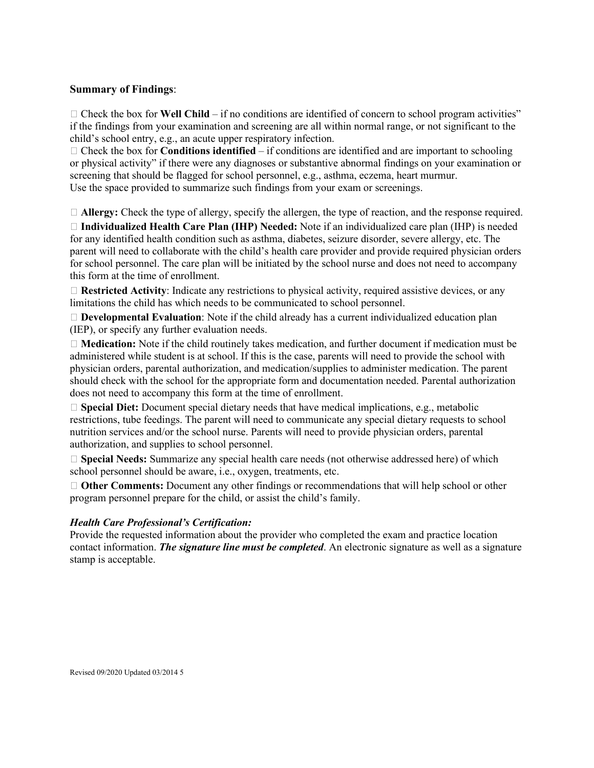#### **Summary of Findings**:

 $\Box$  Check the box for **Well Child** – if no conditions are identified of concern to school program activities" if the findings from your examination and screening are all within normal range, or not significant to the child's school entry, e.g., an acute upper respiratory infection.

 $\Box$  Check the box for **Conditions identified** – if conditions are identified and are important to schooling or physical activity" if there were any diagnoses or substantive abnormal findings on your examination or screening that should be flagged for school personnel, e.g., asthma, eczema, heart murmur. Use the space provided to summarize such findings from your exam or screenings.

**Allergy:** Check the type of allergy, specify the allergen, the type of reaction, and the response required.

 **Individualized Health Care Plan (IHP) Needed:** Note if an individualized care plan (IHP) is needed for any identified health condition such as asthma, diabetes, seizure disorder, severe allergy, etc. The parent will need to collaborate with the child's health care provider and provide required physician orders for school personnel. The care plan will be initiated by the school nurse and does not need to accompany this form at the time of enrollment.

□ Restricted Activity: Indicate any restrictions to physical activity, required assistive devices, or any limitations the child has which needs to be communicated to school personnel.

 **Developmental Evaluation**: Note if the child already has a current individualized education plan (IEP), or specify any further evaluation needs.

 **Medication:** Note if the child routinely takes medication, and further document if medication must be administered while student is at school. If this is the case, parents will need to provide the school with physician orders, parental authorization, and medication/supplies to administer medication. The parent should check with the school for the appropriate form and documentation needed. Parental authorization does not need to accompany this form at the time of enrollment.

 **Special Diet:** Document special dietary needs that have medical implications, e.g., metabolic restrictions, tube feedings. The parent will need to communicate any special dietary requests to school nutrition services and/or the school nurse. Parents will need to provide physician orders, parental authorization, and supplies to school personnel.

 **Special Needs:** Summarize any special health care needs (not otherwise addressed here) of which school personnel should be aware, i.e., oxygen, treatments, etc.

 **Other Comments:** Document any other findings or recommendations that will help school or other program personnel prepare for the child, or assist the child's family.

#### *Health Care Professional's Certification:*

Provide the requested information about the provider who completed the exam and practice location contact information. *The signature line must be completed*. An electronic signature as well as a signature stamp is acceptable.